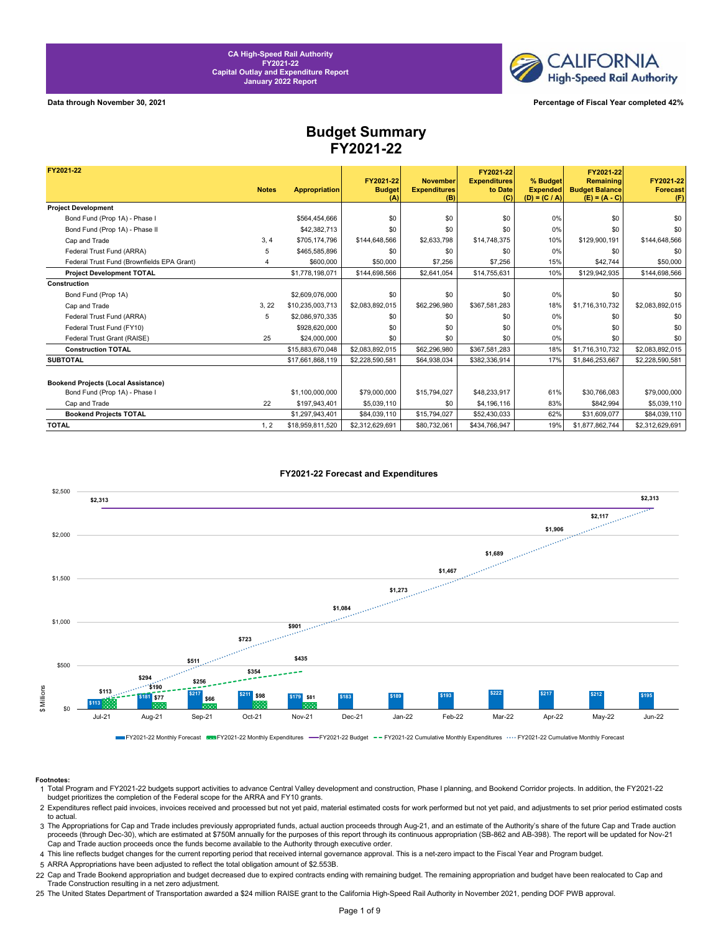

**Data through November 30, 2021 Percentage of Fiscal Year completed 42%**

## **Budget Summary FY2021-22**

| FY2021-22                                  |              |                      |                                   |                                               | FY2021-22                             |                                                | FY2021-22                                             |                                     |
|--------------------------------------------|--------------|----------------------|-----------------------------------|-----------------------------------------------|---------------------------------------|------------------------------------------------|-------------------------------------------------------|-------------------------------------|
|                                            | <b>Notes</b> | <b>Appropriation</b> | FY2021-22<br><b>Budget</b><br>(A) | <b>November</b><br><b>Expenditures</b><br>(B) | <b>Expenditures</b><br>to Date<br>(C) | % Budget<br><b>Expended</b><br>$(D) = (C / A)$ | Remaining<br><b>Budget Balance</b><br>$(E) = (A - C)$ | FY2021-22<br><b>Forecast</b><br>(F) |
| <b>Project Development</b>                 |              |                      |                                   |                                               |                                       |                                                |                                                       |                                     |
| Bond Fund (Prop 1A) - Phase I              |              | \$564.454.666        | \$0                               | \$0                                           | \$0                                   | 0%                                             | \$0                                                   | \$0                                 |
| Bond Fund (Prop 1A) - Phase II             |              | \$42,382,713         | \$0                               | \$0                                           | \$0                                   | 0%                                             | \$0                                                   | \$0                                 |
| Cap and Trade                              | 3, 4         | \$705,174,796        | \$144,648,566                     | \$2,633,798                                   | \$14,748,375                          | 10%                                            | \$129,900,191                                         | \$144,648,566                       |
| Federal Trust Fund (ARRA)                  | 5            | \$465,585,896        | \$0                               | \$0                                           | \$0                                   | 0%                                             | \$0                                                   | \$0                                 |
| Federal Trust Fund (Brownfields EPA Grant) | 4            | \$600,000            | \$50,000                          | \$7,256                                       | \$7,256                               | 15%                                            | \$42.744                                              | \$50,000                            |
| <b>Project Development TOTAL</b>           |              | \$1,778,198,071      | \$144,698,566                     | \$2,641,054                                   | \$14,755,631                          | 10%                                            | \$129.942.935                                         | \$144,698,566                       |
| Construction                               |              |                      |                                   |                                               |                                       |                                                |                                                       |                                     |
| Bond Fund (Prop 1A)                        |              | \$2,609,076,000      | \$0                               | \$0                                           | \$0                                   | 0%                                             | \$0                                                   | \$0                                 |
| Cap and Trade                              | 3.22         | \$10,235,003,713     | \$2,083,892,015                   | \$62,296,980                                  | \$367,581,283                         | 18%                                            | \$1,716,310,732                                       | \$2,083,892,015                     |
| Federal Trust Fund (ARRA)                  | 5            | \$2,086,970,335      | \$0                               | \$0                                           | \$0                                   | 0%                                             | \$0                                                   | \$0                                 |
| Federal Trust Fund (FY10)                  |              | \$928,620,000        | \$0                               | \$0                                           | \$0                                   | 0%                                             | \$0                                                   | \$0                                 |
| Federal Trust Grant (RAISE)                | 25           | \$24,000,000         | \$0                               | \$0                                           | \$0                                   | 0%                                             | \$0                                                   | \$0                                 |
| <b>Construction TOTAL</b>                  |              | \$15,883,670,048     | \$2,083,892,015                   | \$62,296,980                                  | \$367,581,283                         | 18%                                            | \$1,716,310,732                                       | \$2,083,892,015                     |
| <b>SUBTOTAL</b>                            |              | \$17,661,868,119     | \$2,228,590,581                   | \$64,938,034                                  | \$382,336,914                         | 17%                                            | \$1,846,253,667                                       | \$2,228,590,581                     |
|                                            |              |                      |                                   |                                               |                                       |                                                |                                                       |                                     |
| <b>Bookend Projects (Local Assistance)</b> |              |                      |                                   |                                               |                                       |                                                |                                                       |                                     |
| Bond Fund (Prop 1A) - Phase I              |              | \$1.100.000.000      | \$79,000,000                      | \$15,794,027                                  | \$48,233,917                          | 61%                                            | \$30,766,083                                          | \$79,000,000                        |
| Cap and Trade                              | 22           | \$197.943.401        | \$5,039,110                       | \$0                                           | \$4,196,116                           | 83%                                            | \$842,994                                             | \$5.039.110                         |
| <b>Bookend Projects TOTAL</b>              |              | \$1,297,943,401      | \$84,039,110                      | \$15,794,027                                  | \$52,430,033                          | 62%                                            | \$31,609,077                                          | \$84,039,110                        |
| <b>TOTAL</b>                               | 1, 2         | \$18,959,811,520     | \$2,312,629,691                   | \$80,732,061                                  | \$434,766,947                         | 19%                                            | \$1,877,862,744                                       | \$2,312,629,691                     |



### **FY2021-22 Forecast and Expenditures**

FY2021-22 Monthly Forecast SES FY2021-22 Monthly Expenditures - FY2021-22 Budget -- FY2021-22 Cumulative Monthly Expenditures .... FY2021-22 Cumulative Monthly Expenditures ...

#### **Footnotes:**

- 1 Total Program and FY2021-22 budgets support activities to advance Central Valley development and construction, Phase I planning, and Bookend Corridor projects. In addition, the FY2021-22 budget prioritizes the completion of the Federal scope for the ARRA and FY10 grants.
- 2 Expenditures reflect paid invoices, invoices received and processed but not yet paid, material estimated costs for work performed but not yet paid, and adjustments to set prior period estimated costs to actual.
- 3 The Appropriations for Cap and Trade includes previously appropriated funds, actual auction proceeds through Aug-21, and an estimate of the Authority's share of the future Cap and Trade auction proceeds (through Dec-30), which are estimated at \$750M annually for the purposes of this report through its continuous appropriation (SB-862 and AB-398). The report will be updated for Nov-21 Cap and Trade auction proceeds once the funds become available to the Authority through executive order.
- 4 This line reflects budget changes for the current reporting period that received internal governance approval. This is a net-zero impact to the Fiscal Year and Program budget.
- 5 ARRA Appropriations have been adjusted to reflect the total obligation amount of \$2.553B.
- 22 Cap and Trade Bookend appropriation and budget decreased due to expired contracts ending with remaining budget. The remaining appropriation and budget have been realocated to Cap and Trade Construction resulting in a net zero adjustment.
- 25 The United States Department of Transportation awarded a \$24 million RAISE grant to the California High-Speed Rail Authority in November 2021, pending DOF PWB approval.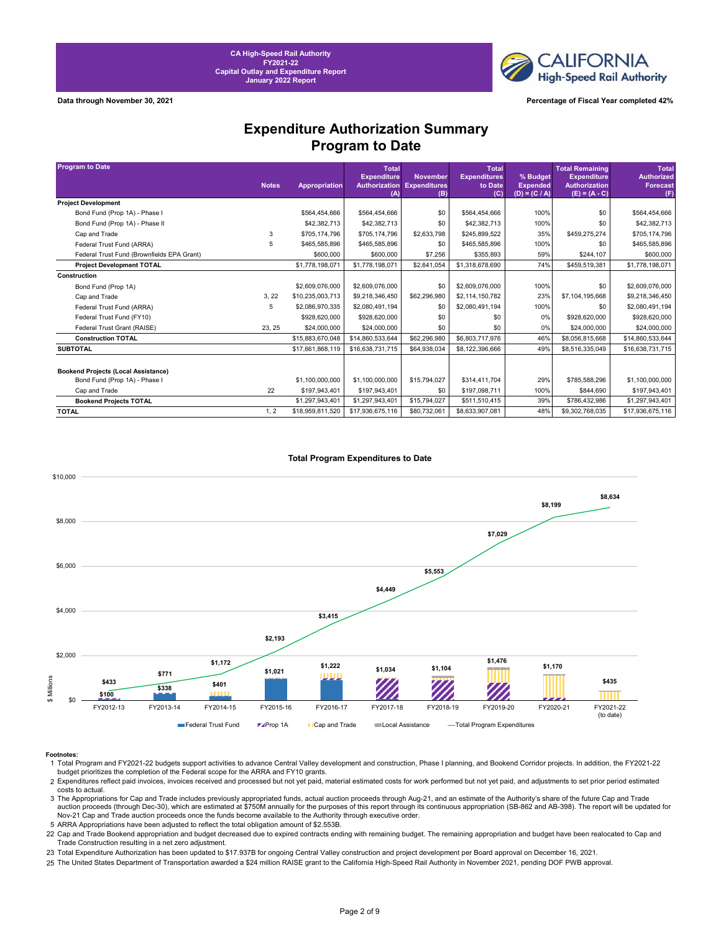**CALIFORNIA High-Speed Rail Authority** 

**Data through November 30, 2021 Percentage of Fiscal Year completed 42%**

## **Expenditure Authorization Summary Program to Date**

| <b>Program to Date</b>                     |              |                      | <b>Total</b><br><b>Expenditure</b> | <b>November</b>            | Total<br><b>Expenditures</b> | % Budget                           | <b>Total Remaining</b><br><b>Expenditure</b> | <b>Total</b><br><b>Authorized</b> |
|--------------------------------------------|--------------|----------------------|------------------------------------|----------------------------|------------------------------|------------------------------------|----------------------------------------------|-----------------------------------|
|                                            | <b>Notes</b> | <b>Appropriation</b> | Authorization<br>(A)               | <b>Expenditures</b><br>(B) | to Date<br>(C)               | <b>Expended</b><br>$(D) = (C / A)$ | <b>Authorization</b><br>$(E) = (A - C)$      | <b>Forecast</b><br>(F)            |
| <b>Project Development</b>                 |              |                      |                                    |                            |                              |                                    |                                              |                                   |
| Bond Fund (Prop 1A) - Phase I              |              | \$564,454,666        | \$564.454.666                      | \$0                        | \$564,454,666                | 100%                               | \$0                                          | \$564,454,666                     |
| Bond Fund (Prop 1A) - Phase II             |              | \$42,382,713         | \$42,382,713                       | \$0                        | \$42,382,713                 | 100%                               | \$0                                          | \$42,382,713                      |
| Cap and Trade                              | 3            | \$705.174.796        | \$705,174,796                      | \$2,633,798                | \$245,899,522                | 35%                                | \$459,275,274                                | \$705,174,796                     |
| Federal Trust Fund (ARRA)                  | 5            | \$465,585,896        | \$465,585,896                      | \$0                        | \$465,585,896                | 100%                               | \$0                                          | \$465,585,896                     |
| Federal Trust Fund (Brownfields EPA Grant) |              | \$600,000            | \$600,000                          | \$7,256                    | \$355.893                    | 59%                                | \$244.107                                    | \$600,000                         |
| <b>Project Development TOTAL</b>           |              | \$1,778,198,071      | \$1,778,198,071                    | \$2,641,054                | \$1,318,678,690              | 74%                                | \$459,519,381                                | \$1,778,198,071                   |
| Construction                               |              |                      |                                    |                            |                              |                                    |                                              |                                   |
| Bond Fund (Prop 1A)                        |              | \$2,609,076,000      | \$2,609,076,000                    | \$0                        | \$2,609,076,000              | 100%                               | \$0                                          | \$2,609,076,000                   |
| Cap and Trade                              | 3, 22        | \$10,235,003,713     | \$9,218,346,450                    | \$62,296,980               | \$2,114,150,782              | 23%                                | \$7,104,195,668                              | \$9,218,346,450                   |
| Federal Trust Fund (ARRA)                  | 5            | \$2,086,970,335      | \$2,080,491,194                    | \$0                        | \$2,080,491,194              | 100%                               | \$0                                          | \$2,080,491,194                   |
| Federal Trust Fund (FY10)                  |              | \$928,620,000        | \$928,620,000                      | \$0                        | \$0                          | 0%                                 | \$928,620,000                                | \$928,620,000                     |
| Federal Trust Grant (RAISE)                | 23.25        | \$24,000,000         | \$24,000,000                       | \$0                        | \$0                          | 0%                                 | \$24,000,000                                 | \$24,000,000                      |
| <b>Construction TOTAL</b>                  |              | \$15,883,670,048     | \$14,860,533,644                   | \$62,296,980               | \$6,803,717,976              | 46%                                | \$8,056,815,668                              | \$14,860,533,644                  |
| <b>SUBTOTAL</b>                            |              | \$17,661,868,119     | \$16,638,731,715                   | \$64,938,034               | \$8,122,396,666              | 49%                                | \$8,516,335,049                              | \$16,638,731,715                  |
|                                            |              |                      |                                    |                            |                              |                                    |                                              |                                   |
| <b>Bookend Projects (Local Assistance)</b> |              |                      |                                    |                            |                              |                                    |                                              |                                   |
| Bond Fund (Prop 1A) - Phase I              |              | \$1,100,000,000      | \$1,100,000,000                    | \$15,794,027               | \$314,411,704                | 29%                                | \$785,588,296                                | \$1,100,000,000                   |
| Cap and Trade                              | 22           | \$197,943,401        | \$197.943.401                      | \$0                        | \$197,098,711                | 100%                               | \$844,690                                    | \$197,943,401                     |
| <b>Bookend Projects TOTAL</b>              |              | \$1,297,943,401      | \$1,297,943,401                    | \$15,794,027               | \$511,510,415                | 39%                                | \$786,432,986                                | \$1,297,943,401                   |
| <b>TOTAL</b>                               | 1, 2         | \$18,959,811,520     | \$17,936,675,116                   | \$80,732,061               | \$8,633,907,081              | 48%                                | \$9,302,768,035                              | \$17,936,675,116                  |



## **Total Program Expenditures to Date**

#### **Footnotes:**

5 ARRA Appropriations have been adjusted to reflect the total obligation amount of \$2.553B.

22 Cap and Trade Bookend appropriation and budget decreased due to expired contracts ending with remaining budget. The remaining appropriation and budget have been realocated to Cap and<br>Trade Construction resulting in a ne

23 Total Expenditure Authorization has been updated to \$17.937B for ongoing Central Valley construction and project development per Board approval on December 16, 2021.

25 The United States Department of Transportation awarded a \$24 million RAISE grant to the California High-Speed Rail Authority in November 2021, pending DOF PWB approval.

<sup>1</sup> Total Program and FY2021-22 budgets support activities to advance Central Valley development and construction, Phase I planning, and Bookend Corridor projects. In addition, the FY2021-22 budget prioritizes the completion of the Federal scope for the ARRA and FY10 grants.

<sup>2</sup> Expenditures reflect paid invoices, invoices received and processed but not yet paid, material estimated costs for work performed but not yet paid, and adjustments to set prior period estimated costs to actual.

<sup>3</sup> The Appropriations for Cap and Trade includes previously appropriated funds, actual auction proceeds through Aug-21, and an estimate of the Authority's share of the future Cap and Trade auction proceeds (through Dec-30), which are estimated at \$750M annually for the purposes of this report through its continuous appropriation (SB-862 and AB-398). The report will be updated for Nov-21 Cap and Trade auction proceeds once the funds become available to the Authority through executive order.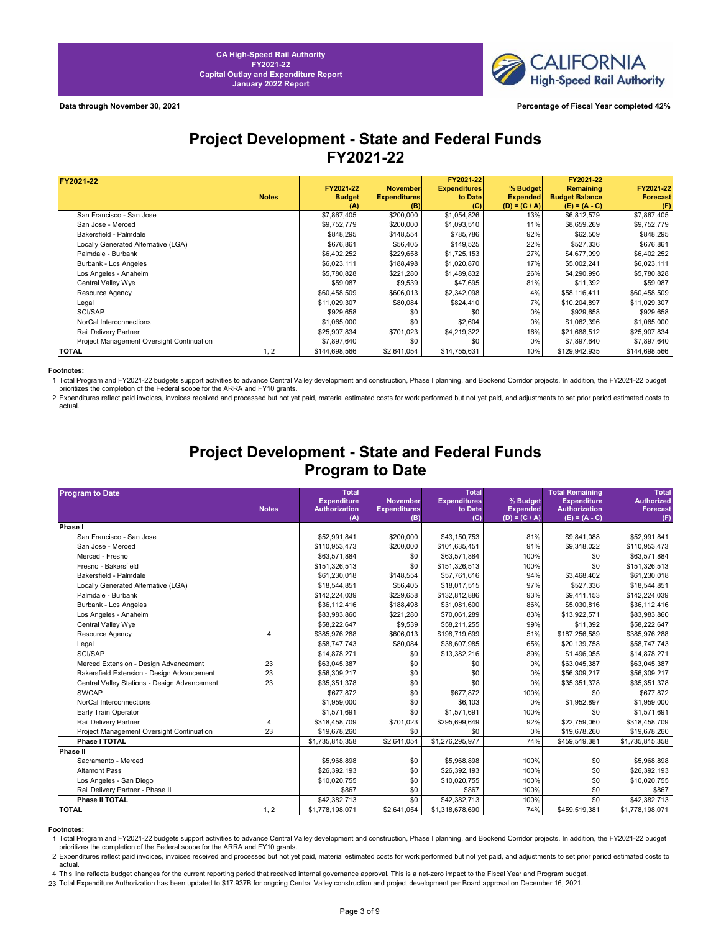

# **Project Development - State and Federal Funds FY2021-22**

| FY2021-22                                 |              |               |                     | FY2021-22           |                 | FY2021-22             |                 |
|-------------------------------------------|--------------|---------------|---------------------|---------------------|-----------------|-----------------------|-----------------|
|                                           |              | FY2021-22     | <b>November</b>     | <b>Expenditures</b> | % Budget        | <b>Remaining</b>      | FY2021-22       |
|                                           | <b>Notes</b> | <b>Budget</b> | <b>Expenditures</b> | to Date             | <b>Expended</b> | <b>Budget Balance</b> | <b>Forecast</b> |
|                                           |              | (A)           | (B)                 | (C)                 | $(D) = (C / A)$ | $(E) = (A - C)$       | (F)             |
| San Francisco - San Jose                  |              | \$7,867,405   | \$200,000           | \$1,054,826         | 13%             | \$6,812,579           | \$7,867,405     |
| San Jose - Merced                         |              | \$9,752,779   | \$200,000           | \$1,093,510         | 11%             | \$8,659,269           | \$9,752,779     |
| Bakersfield - Palmdale                    |              | \$848,295     | \$148,554           | \$785,786           | 92%             | \$62,509              | \$848,295       |
| Locally Generated Alternative (LGA)       |              | \$676,861     | \$56,405            | \$149,525           | 22%             | \$527,336             | \$676,861       |
| Palmdale - Burbank                        |              | \$6,402,252   | \$229,658           | \$1,725,153         | 27%             | \$4,677,099           | \$6,402,252     |
| Burbank - Los Angeles                     |              | \$6,023,111   | \$188,498           | \$1,020,870         | 17%             | \$5,002,241           | \$6,023,111     |
| Los Angeles - Anaheim                     |              | \$5,780,828   | \$221,280           | \$1,489,832         | 26%             | \$4,290,996           | \$5,780,828     |
| Central Valley Wye                        |              | \$59,087      | \$9,539             | \$47,695            | 81%             | \$11,392              | \$59,087        |
| Resource Agency                           |              | \$60,458,509  | \$606,013           | \$2,342,098         | 4%              | \$58,116,411          | \$60,458,509    |
| Legal                                     |              | \$11,029,307  | \$80,084            | \$824,410           | 7%              | \$10,204,897          | \$11,029,307    |
| SCI/SAP                                   |              | \$929,658     | \$0                 | \$0                 | $0\%$           | \$929,658             | \$929,658       |
| NorCal Interconnections                   |              | \$1,065,000   | \$0                 | \$2,604             | $0\%$           | \$1,062,396           | \$1,065,000     |
| Rail Delivery Partner                     |              | \$25,907,834  | \$701,023           | \$4,219,322         | 16%             | \$21,688,512          | \$25,907,834    |
| Project Management Oversight Continuation |              | \$7,897,640   | \$0                 | \$0                 | 0%              | \$7,897,640           | \$7,897,640     |
| <b>TOTAL</b>                              | 1, 2         | \$144,698,566 | \$2,641,054         | \$14,755,631        | 10%             | \$129,942,935         | \$144,698,566   |

#### **Footnotes:** Professional Project Development - State and Funds Footnotes:  $\mathbf{P} = \mathbf{P} \mathbf{P} \mathbf{P} \mathbf{P}$

1 Total Program and FY2021-22 budgets support activities to advance Central Valley development and construction, Phase I planning, and Bookend Corridor projects. In addition, the FY2021-22 budget<br>prioritizes the completion

2 Expenditures reflect paid invoices, invoices received and processed but not yet paid, material estimated costs for work performed but not yet paid, and adjustments to set prior period estimated costs to actual.

# **Project Development - State and Federal Funds Program to Date**

| <b>Program to Date</b>                       |                | <b>Total</b>         |                     | <b>Total</b>        |                 | <b>Total Remaining</b> | <b>Total</b>      |
|----------------------------------------------|----------------|----------------------|---------------------|---------------------|-----------------|------------------------|-------------------|
|                                              |                | <b>Expenditure</b>   | <b>November</b>     | <b>Expenditures</b> | % Budget        | <b>Expenditure</b>     | <b>Authorized</b> |
|                                              | <b>Notes</b>   | <b>Authorization</b> | <b>Expenditures</b> | to Date             | <b>Expended</b> | <b>Authorization</b>   | <b>Forecast</b>   |
| Phase I                                      |                | (A)                  | (B)                 | (C)                 | $(D) = (C / A)$ | $(E) = (A - C)$        | (F)               |
| San Francisco - San Jose                     |                | \$52,991,841         | \$200,000           | \$43,150,753        | 81%             | \$9,841,088            | \$52,991,841      |
| San Jose - Merced                            |                | \$110,953,473        | \$200,000           | \$101,635,451       | 91%             | \$9,318,022            | \$110,953,473     |
| Merced - Fresno                              |                | \$63,571,884         | \$0                 | \$63,571,884        | 100%            | \$0                    | \$63,571,884      |
| Fresno - Bakersfield                         |                | \$151,326,513        | \$0                 | \$151,326,513       | 100%            | \$0                    | \$151,326,513     |
| Bakersfield - Palmdale                       |                | \$61,230,018         | \$148,554           | \$57,761,616        | 94%             | \$3,468,402            | \$61,230,018      |
| Locally Generated Alternative (LGA)          |                | \$18,544,851         | \$56,405            | \$18,017,515        | 97%             | \$527,336              | \$18,544,851      |
| Palmdale - Burbank                           |                | \$142,224,039        | \$229,658           | \$132,812,886       | 93%             | \$9,411,153            | \$142,224,039     |
| Burbank - Los Angeles                        |                | \$36,112,416         | \$188,498           | \$31,081,600        | 86%             | \$5,030,816            | \$36,112,416      |
| Los Angeles - Anaheim                        |                | \$83,983,860         | \$221,280           | \$70,061,289        | 83%             | \$13,922,571           | \$83,983,860      |
| Central Valley Wye                           |                | \$58,222,647         | \$9,539             | \$58,211,255        | 99%             | \$11,392               | \$58,222,647      |
| Resource Agency                              | 4              | \$385,976,288        | \$606,013           | \$198,719,699       | 51%             | \$187,256,589          | \$385,976,288     |
| Legal                                        |                | \$58,747,743         | \$80,084            | \$38,607,985        | 65%             | \$20,139,758           | \$58,747,743      |
| SCI/SAP                                      |                | \$14,878,271         | \$0                 | \$13,382,216        | 89%             | \$1,496,055            | \$14,878,271      |
| Merced Extension - Design Advancement        | 23             | \$63,045,387         | \$0                 | \$0                 | 0%              | \$63,045,387           | \$63,045,387      |
| Bakersfield Extension - Design Advancement   | 23             | \$56,309,217         | \$0                 | \$0                 | 0%              | \$56,309,217           | \$56,309,217      |
| Central Valley Stations - Design Advancement | 23             | \$35,351,378         | \$0                 | \$0                 | 0%              | \$35,351,378           | \$35,351,378      |
| <b>SWCAP</b>                                 |                | \$677,872            | \$0                 | \$677,872           | 100%            | \$0                    | \$677,872         |
| NorCal Interconnections                      |                | \$1,959,000          | \$0                 | \$6,103             | 0%              | \$1,952,897            | \$1,959,000       |
| Early Train Operator                         |                | \$1,571,691          | \$0                 | \$1,571,691         | 100%            | \$0                    | \$1,571,691       |
| Rail Delivery Partner                        | $\overline{4}$ | \$318,458,709        | \$701,023           | \$295,699,649       | 92%             | \$22,759,060           | \$318,458,709     |
| Project Management Oversight Continuation    | 23             | \$19,678,260         | \$0                 | \$0                 | 0%              | \$19,678,260           | \$19,678,260      |
| Phase I TOTAL                                |                | \$1,735,815,358      | \$2,641,054         | \$1,276,295,977     | 74%             | \$459,519,381          | \$1,735,815,358   |
| Phase II                                     |                |                      |                     |                     |                 |                        |                   |
| Sacramento - Merced                          |                | \$5,968,898          | \$0                 | \$5,968,898         | 100%            | \$0                    | \$5,968,898       |
| <b>Altamont Pass</b>                         |                | \$26,392,193         | \$0                 | \$26,392,193        | 100%            | \$0                    | \$26,392,193      |
| Los Angeles - San Diego                      |                | \$10,020,755         | \$0                 | \$10,020,755        | 100%            | \$0                    | \$10,020,755      |
| Rail Delivery Partner - Phase II             |                | \$867                | \$0                 | \$867               | 100%            | \$0                    | \$867             |
| Phase II TOTAL                               |                | \$42,382,713         | \$0                 | \$42,382,713        | 100%            | \$0                    | \$42,382,713      |
| <b>TOTAL</b>                                 | 1, 2           | \$1,778,198,071      | \$2,641,054         | \$1,318,678,690     | 74%             | \$459,519,381          | \$1,778,198,071   |

**Footnotes:**<br>1 Total Program and FY2021-22 budgets support activities to advance Central Valley development and construction, Phase I planning, and Bookend Corridor projects. In addition, the FY2021-22 budget prioritizes the completion of the Federal scope for the ARRA and FY10 grants.

2 Expenditures reflect paid invoices, invoices received and processed but not yet paid, material estimated costs for work performed but not yet paid, and adjustments to set prior period estimated costs to actual.

4 This line reflects budget changes for the current reporting period that received internal governance approval. This is a net-zero impact to the Fiscal Year and Program budget.

23 Total Expenditure Authorization has been updated to \$17.937B for ongoing Central Valley construction and project development per Board approval on December 16, 2021.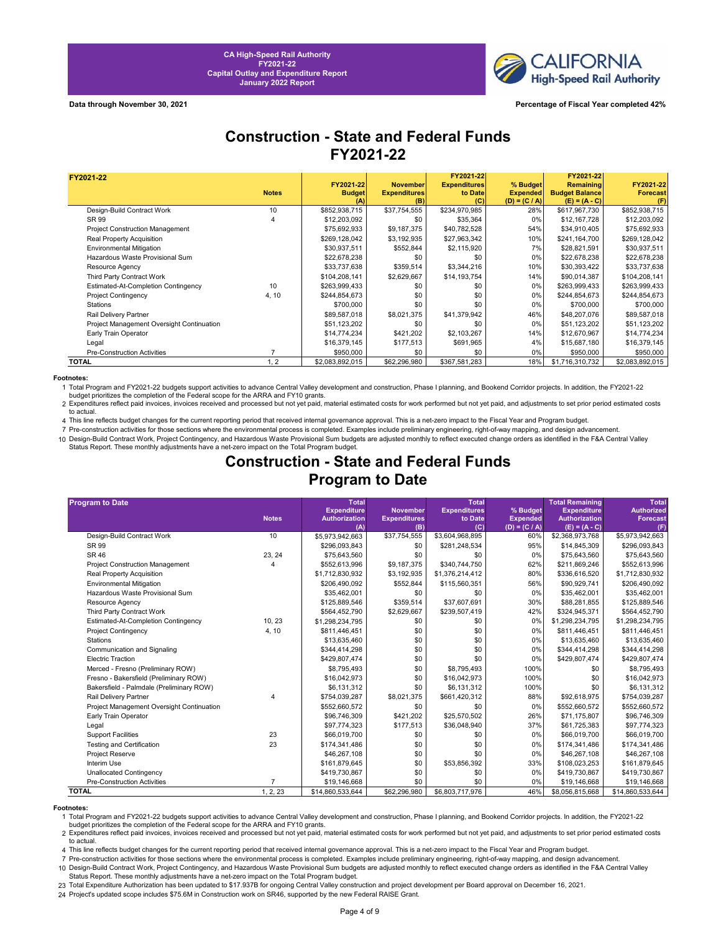

**Data through November 30, 2021 Percentage of Fiscal Year completed 42%**

# **Construction - State and Federal Funds FY2021-22**

| FY2021-22                                 |              | FY2021-22       | <b>November</b>            | FY2021-22<br><b>Expenditures</b> | % Budget                           | FY2021-22<br><b>Remaining</b>            | FY2021-22              |
|-------------------------------------------|--------------|-----------------|----------------------------|----------------------------------|------------------------------------|------------------------------------------|------------------------|
|                                           | <b>Notes</b> | <b>Budget</b>   | <b>Expenditures</b><br>(B) | to Date<br>(C)                   | <b>Expended</b><br>$(D) = (C / A)$ | <b>Budget Balance</b><br>$(E) = (A - C)$ | <b>Forecast</b><br>(F) |
| Design-Build Contract Work                | 10           | \$852,938,715   | \$37,754,555               | \$234,970,985                    | 28%                                | \$617,967,730                            | \$852,938,715          |
| SR 99                                     |              | \$12,203,092    | \$0                        | \$35,364                         | $0\%$                              | \$12,167,728                             | \$12,203,092           |
| <b>Project Construction Management</b>    |              | \$75,692,933    | \$9,187,375                | \$40,782,528                     | 54%                                | \$34,910,405                             | \$75,692,933           |
| Real Property Acquisition                 |              | \$269,128,042   | \$3,192,935                | \$27,963,342                     | 10%                                | \$241,164,700                            | \$269,128,042          |
| Environmental Mitigation                  |              | \$30,937,511    | \$552,844                  | \$2,115,920                      | 7%                                 | \$28,821,591                             | \$30,937,511           |
| Hazardous Waste Provisional Sum           |              | \$22,678,238    | \$0                        | \$0                              | 0%                                 | \$22,678,238                             | \$22,678,238           |
| Resource Agency                           |              | \$33,737,638    | \$359,514                  | \$3,344,216                      | 10%                                | \$30,393,422                             | \$33,737,638           |
| Third Party Contract Work                 |              | \$104,208,141   | \$2,629,667                | \$14,193,754                     | 14%                                | \$90,014,387                             | \$104,208,141          |
| Estimated-At-Completion Contingency       | 10           | \$263,999,433   | \$0                        | \$0                              | 0%                                 | \$263,999,433                            | \$263,999,433          |
| <b>Project Contingency</b>                | 4, 10        | \$244,854,673   | \$0                        | \$0                              | 0%                                 | \$244,854,673                            | \$244,854,673          |
| <b>Stations</b>                           |              | \$700,000       | \$0                        | \$0                              | 0%                                 | \$700,000                                | \$700,000              |
| Rail Delivery Partner                     |              | \$89,587,018    | \$8,021,375                | \$41,379,942                     | 46%                                | \$48,207,076                             | \$89,587,018           |
| Project Management Oversight Continuation |              | \$51,123,202    | \$0                        | \$0                              | 0%                                 | \$51,123,202                             | \$51,123,202           |
| Early Train Operator                      |              | \$14,774,234    | \$421,202                  | \$2,103,267                      | 14%                                | \$12,670,967                             | \$14,774,234           |
| Legal                                     |              | \$16,379,145    | \$177,513                  | \$691,965                        | 4%                                 | \$15,687,180                             | \$16,379,145           |
| Pre-Construction Activities               |              | \$950,000       | \$0                        | \$0                              | 0%                                 | \$950,000                                | \$950,000              |
| <b>TOTAL</b>                              | 1, 2         | \$2,083,892,015 | \$62,296,980               | \$367,581,283                    | 18%                                | \$1,716,310,732                          | \$2,083,892,015        |

**Footnotes:**<br>1 Total Program and FY2021-22 budgets support activities to advance Central Valley development and construction, Phase I planning, and Bookend Corridor projects. In addition, the FY2021-22<br>budget prioritizes t

2 Expenditures reflect paid invoices, invoices received and processed but not yet paid, material estimated costs for work performed but not yet paid, and adjustments to set prior period estimated costs to actual.

4 This line reflects budget changes for the current reporting period that received internal governance approval. This is a net-zero impact to the Fiscal Year and Program budget.

7 Pre-construction activities for those sections where the environmental process is completed. Examples include preliminary engineering, right-of-way mapping, and design advancement.

10 Design-Build Contract Work, Project Contingency, and Hazardous Waste Provisional Sum budgets are adjusted monthly to reflect executed change orders as identified in the F&A Central Valley Status Report. These monthly adjustments have a net-zero impact on the Total Program budget.

## **Construction - State and Federal Funds Program to Date**

| <b>Program to Date</b>                    |                | <b>Total</b>         |                     | <b>Total</b>        |                 | <b>Total Remaining</b> | <b>Total</b>      |
|-------------------------------------------|----------------|----------------------|---------------------|---------------------|-----------------|------------------------|-------------------|
|                                           |                | <b>Expenditure</b>   | <b>November</b>     | <b>Expenditures</b> | % Budget        | <b>Expenditure</b>     | <b>Authorized</b> |
|                                           | <b>Notes</b>   | <b>Authorization</b> | <b>Expenditures</b> | to Date             | <b>Expended</b> | <b>Authorization</b>   | <b>Forecast</b>   |
|                                           |                | (A)                  | (B)                 | (C)                 | $(D) = (C / A)$ | $(E) = (A - C)$        | (F)               |
| Design-Build Contract Work                | 10             | \$5,973,942,663      | \$37,754,555        | \$3,604,968,895     | 60%             | \$2,368,973,768        | \$5,973,942,663   |
| SR 99                                     |                | \$296,093,843        | \$0                 | \$281,248,534       | 95%             | \$14,845,309           | \$296,093,843     |
| SR 46                                     | 23, 24         | \$75,643,560         | \$0                 | \$0                 | 0%              | \$75,643,560           | \$75,643,560      |
| Project Construction Management           |                | \$552,613,996        | \$9,187,375         | \$340,744,750       | 62%             | \$211,869,246          | \$552,613,996     |
| Real Property Acquisition                 |                | \$1,712,830,932      | \$3,192,935         | \$1,376,214,412     | 80%             | \$336,616,520          | \$1,712,830,932   |
| <b>Environmental Mitigation</b>           |                | \$206,490,092        | \$552,844           | \$115,560,351       | 56%             | \$90,929,741           | \$206,490,092     |
| Hazardous Waste Provisional Sum           |                | \$35,462,001         | \$0                 | \$0                 | 0%              | \$35,462,001           | \$35,462,001      |
| Resource Agency                           |                | \$125,889,546        | \$359,514           | \$37,607,691        | 30%             | \$88,281,855           | \$125,889,546     |
| Third Party Contract Work                 |                | \$564,452,790        | \$2,629,667         | \$239,507,419       | 42%             | \$324,945,371          | \$564,452,790     |
| Estimated-At-Completion Contingency       | 10, 23         | \$1,298,234,795      | \$0                 | \$0                 | 0%              | \$1,298,234,795        | \$1,298,234,795   |
| <b>Project Contingency</b>                | 4, 10          | \$811,446,451        | \$0                 | \$0                 | 0%              | \$811,446,451          | \$811,446,451     |
| <b>Stations</b>                           |                | \$13,635,460         | \$0                 | \$0                 | 0%              | \$13,635,460           | \$13,635,460      |
| Communication and Signaling               |                | \$344,414,298        | \$0                 | \$0                 | 0%              | \$344,414,298          | \$344,414,298     |
| <b>Electric Traction</b>                  |                | \$429,807,474        | \$0                 | \$0                 | 0%              | \$429,807,474          | \$429,807,474     |
| Merced - Fresno (Preliminary ROW)         |                | \$8,795,493          | \$0                 | \$8,795,493         | 100%            | \$0                    | \$8,795,493       |
| Fresno - Bakersfield (Preliminary ROW)    |                | \$16,042,973         | \$0                 | \$16,042,973        | 100%            | \$0                    | \$16,042,973      |
| Bakersfield - Palmdale (Preliminary ROW)  |                | \$6,131,312          | \$0                 | \$6,131,312         | 100%            | \$0                    | \$6,131,312       |
| Rail Delivery Partner                     | $\overline{4}$ | \$754,039,287        | \$8,021,375         | \$661,420,312       | 88%             | \$92,618,975           | \$754,039,287     |
| Project Management Oversight Continuation |                | \$552,660,572        | \$0                 | \$0                 | 0%              | \$552,660,572          | \$552,660,572     |
| Early Train Operator                      |                | \$96,746,309         | \$421,202           | \$25,570,502        | 26%             | \$71,175,807           | \$96,746,309      |
| Legal                                     |                | \$97,774,323         | \$177,513           | \$36,048,940        | 37%             | \$61,725,383           | \$97,774,323      |
| <b>Support Facilities</b>                 | 23             | \$66,019,700         | \$0                 | \$0                 | 0%              | \$66,019,700           | \$66,019,700      |
| <b>Testing and Certification</b>          | 23             | \$174,341,486        | \$0                 | \$0                 | 0%              | \$174,341,486          | \$174,341,486     |
| Project Reserve                           |                | \$46,267,108         | \$0                 | \$0                 | 0%              | \$46,267,108           | \$46,267,108      |
| Interim Use                               |                | \$161,879,645        | \$0                 | \$53,856,392        | 33%             | \$108,023,253          | \$161,879,645     |
| <b>Unallocated Contingency</b>            |                | \$419,730,867        | \$0                 | \$0                 | 0%              | \$419,730,867          | \$419,730,867     |
| <b>Pre-Construction Activities</b>        | 7              | \$19,146,668         | \$0                 | \$0                 | 0%              | \$19,146,668           | \$19,146,668      |
| <b>TOTAL</b>                              | 1, 2, 23       | \$14,860,533,644     | \$62,296,980        | \$6,803,717,976     | 46%             | \$8,056,815,668        | \$14,860,533,644  |

**Footnotes:**<br>19 Total Program and FY2021-22 budgets support activities to advance Central Valley development and construction, Phase I planning, and Bookend Corridor projects. In addition, the FY2021-22

budget prioritizes the completion of the Federal scope for the ARRA and FY10 grants.

2 Expenditures reflect paid invoices, invoices received and processed but not yet paid, material estimated costs for work performed but not yet paid, and adjustments to set prior period estimated costs to actual.

4 This line reflects budget changes for the current reporting period that received internal governance approval. This is a net-zero impact to the Fiscal Year and Program budget.

7 Pre-construction activities for those sections where the environmental process is completed. Examples include preliminary engineering, right-of-way mapping, and design advancement.

10 Design-Build Contract Work, Project Contingency, and Hazardous Waste Provisional Sum budgets are adjusted monthly to reflect executed change orders as identified in the F&A Central Valley Status Report. These monthly adjustments have a net-zero impact on the Total Program budget.

23 Total Expenditure Authorization has been updated to \$17.937B for ongoing Central Valley construction and project development per Board approval on December 16, 2021.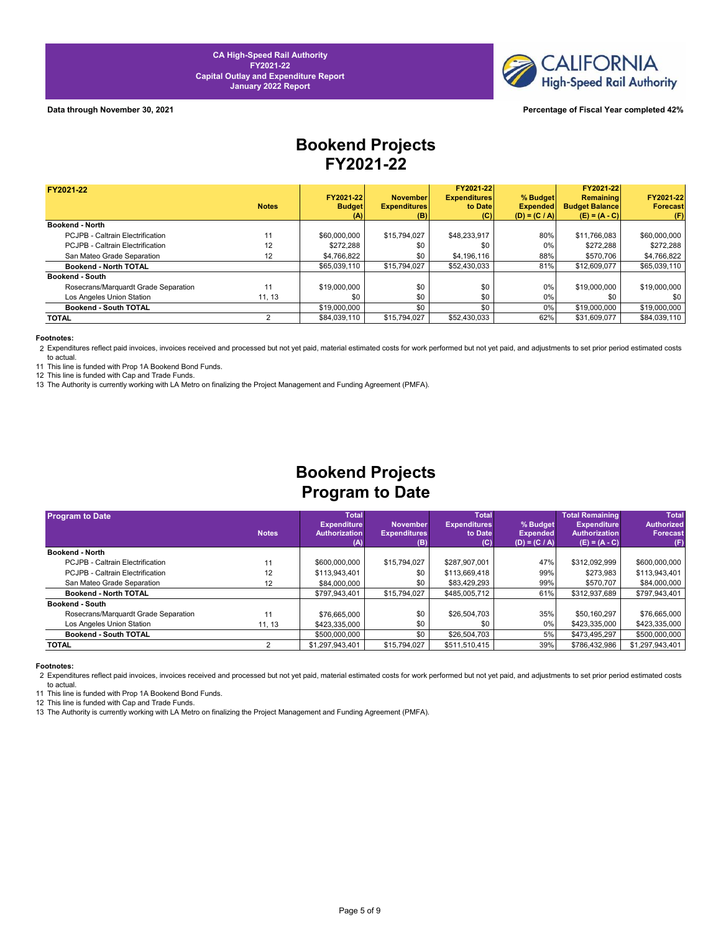

### **Data through November 30, 2021 Percentage of Fiscal Year completed 42%**

# **Bookend Projects FY2021-22**

| FY2021-22                            |              |               |                     | FY2021-22           |                 | FY2021-22             |                 |
|--------------------------------------|--------------|---------------|---------------------|---------------------|-----------------|-----------------------|-----------------|
|                                      |              | FY2021-22     | <b>November</b>     | <b>Expenditures</b> | % Budget        | Remaining             | FY2021-22       |
|                                      | <b>Notes</b> | <b>Budget</b> | <b>Expenditures</b> | to Date             | <b>Expended</b> | <b>Budget Balance</b> | <b>Forecast</b> |
|                                      |              | (A)           | (B)                 | (C)                 | $(D) = (C / A)$ | $(E) = (A - C)$       | (F)             |
| <b>Bookend - North</b>               |              |               |                     |                     |                 |                       |                 |
| PCJPB - Caltrain Electrification     | 11           | \$60,000,000  | \$15,794,027        | \$48,233,917        | 80%             | \$11,766,083          | \$60,000,000    |
| PCJPB - Caltrain Electrification     | 12           | \$272.288     | \$0                 | \$0                 | 0%              | \$272.288             | \$272.288       |
| San Mateo Grade Separation           | 12           | \$4,766,822   | \$0                 | \$4,196,116         | 88%             | \$570.706             | \$4,766,822     |
| Bookend - North TOTAL                |              | \$65,039,110  | \$15,794,027        | \$52,430,033        | 81%             | \$12,609,077          | \$65,039,110    |
| <b>Bookend - South</b>               |              |               |                     |                     |                 |                       |                 |
| Rosecrans/Marquardt Grade Separation | 11           | \$19,000,000  | \$0                 | \$0                 | 0%              | \$19,000,000          | \$19,000,000    |
| Los Angeles Union Station            | 11, 13       | \$0           | \$0                 | \$0                 | $0\%$           | \$0                   | \$0             |
| Bookend - South TOTAL                |              | \$19,000,000  | \$0                 | \$0                 | 0%              | \$19,000,000          | \$19,000,000    |
| TOTAL                                |              | \$84,039,110  | \$15,794,027        | \$52,430,033        | 62%             | \$31,609,077          | \$84,039,110    |

#### **Footnotes:**

2 Expenditures reflect paid invoices, invoices received and processed but not yet paid, material estimated costs for work performed but not yet paid, and adjustments to set prior period estimated costs to actual.

11 This line is funded with Prop 1A Bookend Bond Funds.

12 This line is funded with Cap and Trade Funds.

13 The Authority is currently working with LA Metro on finalizing the Project Management and Funding Agreement (PMFA).

# **Bookend Projects Program to Date**

| <b>Program to Date</b>               |                 | <b>Total</b>                |                     | <b>Total</b>        |                                    | <b>Total Remaining</b>                  | <b>Total</b>      |
|--------------------------------------|-----------------|-----------------------------|---------------------|---------------------|------------------------------------|-----------------------------------------|-------------------|
|                                      |                 | <b>Expenditure</b>          | <b>November</b>     | <b>Expenditures</b> | % Budget                           | <b>Expenditure</b>                      | <b>Authorized</b> |
|                                      | <b>Notes</b>    | <b>Authorization</b><br>(A) | <b>Expenditures</b> | to Date<br>(C)      | <b>Expended</b><br>$(D) = (C / A)$ | <b>Authorization</b><br>$(E) = (A - C)$ | <b>Forecast</b>   |
| Bookend - North                      |                 |                             | (B)                 |                     |                                    |                                         | (F)               |
| PCJPB - Caltrain Electrification     | 11              | \$600,000,000               | \$15,794,027        | \$287,907,001       | 47%                                | \$312,092,999                           | \$600,000,000     |
| PCJPB - Caltrain Electrification     | 12              | \$113,943,401               | \$0                 | \$113,669,418       | 99%                                | \$273,983                               | \$113,943,401     |
| San Mateo Grade Separation           | 12 <sup>2</sup> | \$84,000,000                | \$0                 | \$83,429,293        | 99%                                | \$570.707                               | \$84,000,000      |
| Bookend - North TOTAL                |                 | \$797.943.401               | \$15,794,027        | \$485,005,712       | 61%                                | \$312,937,689                           | \$797,943,401     |
| <b>Bookend - South</b>               |                 |                             |                     |                     |                                    |                                         |                   |
| Rosecrans/Marquardt Grade Separation | 11              | \$76,665,000                | \$0                 | \$26,504,703        | 35%                                | \$50.160.297                            | \$76,665,000      |
| Los Angeles Union Station            | 11.13           | \$423,335,000               | \$0                 | \$0                 | 0%                                 | \$423,335,000                           | \$423,335,000     |
| Bookend - South TOTAL                |                 | \$500,000,000               | \$0                 | \$26,504,703        | 5%                                 | \$473,495,297                           | \$500,000,000     |
| TOTAL                                |                 | \$1,297,943,401             | \$15,794,027        | \$511,510,415       | 39%                                | \$786,432,986                           | \$1,297,943,401   |

#### **Footnotes:**

2 Expenditures reflect paid invoices, invoices received and processed but not yet paid, material estimated costs for work performed but not yet paid, and adjustments to set prior period estimated costs to actual.

11 This line is funded with Prop 1A Bookend Bond Funds.

12 This line is funded with Cap and Trade Funds.

13 The Authority is currently working with LA Metro on finalizing the Project Management and Funding Agreement (PMFA).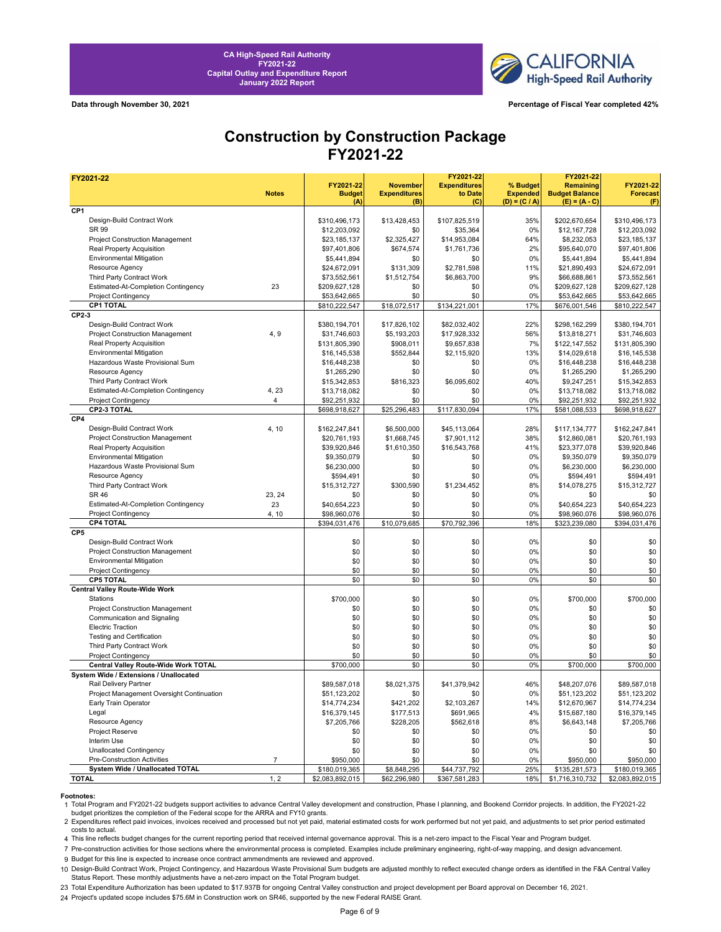

**Data through November 30, 2021 Percentage of Fiscal Year completed 42%**

# **Construction by Construction Package FY2021-22**

| FY2021-22                                   |                |                            |                                        | FY2021-22                      |                             | FY2021-22                          |                              |
|---------------------------------------------|----------------|----------------------------|----------------------------------------|--------------------------------|-----------------------------|------------------------------------|------------------------------|
|                                             | <b>Notes</b>   | FY2021-22<br><b>Budget</b> | <b>November</b><br><b>Expenditures</b> | <b>Expenditures</b><br>to Date | % Budget<br><b>Expended</b> | Remaining<br><b>Budget Balance</b> | FY2021-22<br><b>Forecast</b> |
|                                             |                | (A)                        | (B)                                    | (C)                            | $(D) = (C / A)$             | $(E) = (A - C)$                    | (F)                          |
| CP <sub>1</sub>                             |                |                            |                                        |                                |                             |                                    |                              |
| Design-Build Contract Work                  |                | \$310,496,173              | \$13,428,453                           | \$107.825.519                  | 35%                         | \$202,670,654                      | \$310,496,173                |
| SR 99                                       |                | \$12,203,092               | \$0                                    | \$35,364                       | 0%                          | \$12,167,728                       | \$12,203,092                 |
| Project Construction Management             |                | \$23,185,137               | \$2,325,427                            | \$14,953,084                   | 64%                         | \$8,232,053                        | \$23,185,137                 |
| Real Property Acquisition                   |                | \$97,401,806               | \$674,574                              | \$1,761,736                    | 2%                          | \$95,640,070                       | \$97,401,806                 |
| <b>Environmental Mitigation</b>             |                | \$5,441,894                | \$0                                    | \$0                            | 0%                          | \$5,441,894                        | \$5,441,894                  |
| Resource Agency                             |                | \$24,672,091               | \$131,309                              | \$2,781,598                    | 11%                         | \$21,890,493                       | \$24,672,091                 |
| Third Party Contract Work                   |                | \$73,552,561               | \$1,512,754                            | \$6,863,700                    | 9%                          | \$66,688,861                       | \$73,552,561                 |
| Estimated-At-Completion Contingency         | 23             | \$209,627,128              | \$0                                    | \$0                            | 0%                          | \$209,627,128                      | \$209,627,128                |
| Project Contingency                         |                | \$53,642,665               | \$0                                    | \$0                            | 0%                          | \$53,642,665                       | \$53,642,665                 |
| <b>CP1 TOTAL</b>                            |                | \$810,222,547              | \$18,072,517                           | \$134,221,001                  | 17%                         | \$676,001,546                      | \$810,222,547                |
| CP2-3                                       |                |                            |                                        |                                |                             |                                    |                              |
| Design-Build Contract Work                  |                | \$380,194,701              | \$17,826,102                           | \$82,032,402                   | 22%                         | \$298,162,299                      | \$380,194,701                |
| Project Construction Management             | 4, 9           | \$31,746,603               | \$5,193,203                            | \$17,928,332                   | 56%                         | \$13,818,271                       | \$31,746,603                 |
| Real Property Acquisition                   |                | \$131,805,390              | \$908,011                              | \$9,657,838                    | 7%                          | \$122,147,552                      | \$131,805,390                |
| <b>Environmental Mitigation</b>             |                | \$16,145,538               | \$552,844                              | \$2,115,920                    | 13%                         | \$14,029,618                       | \$16,145,538                 |
| Hazardous Waste Provisional Sum             |                | \$16,448,238               | \$0                                    | \$0                            | 0%                          | \$16,448,238                       | \$16,448,238                 |
| Resource Agency                             |                | \$1,265,290                | \$0                                    | \$0                            | 0%                          | \$1,265,290                        | \$1,265,290                  |
| Third Party Contract Work                   |                | \$15,342,853               | \$816,323                              | \$6,095,602                    | 40%                         | \$9,247,251                        | \$15,342,853                 |
| Estimated-At-Completion Contingency         | 4, 23          | \$13,718,082               | \$0                                    | \$0                            | 0%                          | \$13,718,082                       | \$13,718,082                 |
| Project Contingency                         | $\overline{4}$ | \$92,251,932               | \$0                                    | \$0                            | 0%                          | \$92,251,932                       | \$92,251,932                 |
| CP2-3 TOTAL                                 |                | \$698,918,627              | \$25,296,483                           | \$117,830,094                  | 17%                         | \$581,088,533                      | \$698,918,627                |
| CP4                                         |                |                            |                                        |                                |                             |                                    |                              |
| Design-Build Contract Work                  | 4, 10          | \$162,247,841              | \$6,500,000                            | \$45,113,064                   | 28%                         | \$117,134,777                      | \$162,247,841                |
| Project Construction Management             |                | \$20,761,193               | \$1,668,745                            | \$7,901,112                    | 38%                         | \$12,860,081                       | \$20,761,193                 |
| Real Property Acquisition                   |                | \$39,920,846               | \$1,610,350                            | \$16,543,768                   | 41%                         | \$23,377,078                       | \$39,920,846                 |
| <b>Environmental Mitigation</b>             |                | \$9,350,079                | \$0                                    | \$0                            | 0%                          | \$9,350,079                        | \$9,350,079                  |
| Hazardous Waste Provisional Sum             |                | \$6,230,000                | \$0                                    | \$0                            | 0%                          | \$6,230,000                        | \$6,230,000                  |
| Resource Agency                             |                | \$594,491                  | \$0                                    | \$0                            | 0%                          | \$594,491                          | \$594,491                    |
| Third Party Contract Work                   |                | \$15,312,727               | \$300,590                              | \$1,234,452                    | 8%                          | \$14,078,275                       | \$15,312,727                 |
| SR 46                                       | 23, 24         | \$0                        | \$0                                    | \$0                            | 0%                          | \$0                                | \$0                          |
| Estimated-At-Completion Contingency         | 23             | \$40,654,223               | \$0                                    | \$0                            | 0%                          | \$40,654,223                       | \$40,654,223                 |
| Project Contingency                         | 4, 10          | \$98,960,076               | \$0                                    | \$0                            | 0%                          | \$98,960,076                       | \$98,960,076                 |
| <b>CP4 TOTAL</b>                            |                | \$394,031,476              | \$10,079,685                           | \$70,792,396                   | 18%                         | \$323,239,080                      | \$394,031,476                |
| CP5                                         |                |                            |                                        |                                |                             |                                    |                              |
| Design-Build Contract Work                  |                | \$0                        | \$0                                    | \$0                            | 0%                          | \$0                                | \$0                          |
| Project Construction Management             |                | \$0                        | \$0                                    | \$0                            | 0%                          | \$0                                | \$0                          |
| <b>Environmental Mitigation</b>             |                | \$0                        | \$0                                    | \$0                            | 0%                          | \$0                                | \$0                          |
| Project Contingency                         |                | \$0                        | \$0                                    | \$0                            | 0%                          | \$0                                | \$0                          |
| <b>CP5 TOTAL</b>                            |                | \$0                        | \$0                                    | \$0                            | 0%                          | \$0                                | \$0                          |
| <b>Central Valley Route-Wide Work</b>       |                |                            |                                        |                                |                             |                                    |                              |
| Stations                                    |                | \$700,000                  | \$0                                    | \$0                            | 0%                          | \$700,000                          | \$700,000                    |
| Project Construction Management             |                | \$0                        | \$0                                    | \$0                            | 0%                          | \$0                                | \$0                          |
| Communication and Signaling                 |                | \$0                        | \$0                                    | \$0                            | 0%                          | \$0                                | \$0                          |
| <b>Electric Traction</b>                    |                | \$0                        | \$0                                    | \$0                            | 0%                          | \$0                                | \$0                          |
| <b>Testing and Certification</b>            |                | \$0                        | \$0                                    | \$0                            | 0%                          | \$0                                | \$0                          |
| Third Party Contract Work                   |                | \$0                        | \$0                                    | \$0                            | 0%                          | \$0                                | \$0                          |
| Project Contingency                         |                | \$0                        | \$0                                    | \$0                            | 0%                          | \$0                                | \$0                          |
| <b>Central Valley Route-Wide Work TOTAL</b> |                | \$700,000                  | \$0                                    | \$0                            | 0%                          | \$700,000                          | \$700,000                    |
| System Wide / Extensions / Unallocated      |                |                            |                                        |                                |                             |                                    |                              |
| Rail Delivery Partner                       |                | \$89,587,018               | \$8,021,375                            | \$41,379,942                   | 46%                         | \$48,207,076                       | \$89,587,018                 |
| Project Management Oversight Continuation   |                | \$51,123,202               | \$0                                    | \$0                            | 0%                          | \$51,123,202                       | \$51,123,202                 |
| Early Train Operator                        |                | \$14,774,234               | \$421,202                              | \$2,103,267                    | 14%                         | \$12,670,967                       | \$14,774,234                 |
| Legal                                       |                | \$16,379,145               | \$177,513                              | \$691,965                      | 4%                          | \$15,687,180                       | \$16,379,145                 |
| Resource Agency                             |                | \$7,205,766                | \$228,205                              | \$562,618                      | 8%                          | \$6,643,148                        | \$7,205,766                  |
| Project Reserve                             |                | \$0                        | \$0                                    | \$0                            | 0%                          | \$0                                | \$0                          |
| Interim Use                                 |                | \$0                        | \$0                                    | \$0                            | 0%                          | \$0                                | \$0                          |
| <b>Unallocated Contingency</b>              |                | \$0                        | \$0                                    | \$0                            | 0%                          | \$0                                | \$0                          |
| Pre-Construction Activities                 | $\overline{7}$ | \$950,000                  | \$0                                    | \$0                            | 0%                          | \$950,000                          | \$950,000                    |
| System Wide / Unallocated TOTAL             |                | \$180,019,365              | \$8,848,295                            | \$44,737,792                   | 25%                         | \$135,281,573                      | \$180,019,365                |
| <b>TOTAL</b>                                | 1, 2           | \$2,083,892,015            | \$62,296,980                           | \$367,581,283                  | 18%                         | \$1,716,310,732                    | \$2,083,892,015              |

**Footnotes:**<br>1 Total Program and FY2021-22 budgets support activities to advance Central Valley development and construction, Phase I planning, and Bookend Corridor projects. In addition, the FY2021-22 budget prioritizes the completion of the Federal scope for the ARRA and FY10 grants.

2 Expenditures reflect paid invoices, invoices received and processed but not yet paid, material estimated costs for work performed but not yet paid, and adjustments to set prior period estimated costs to actual.

4 This line reflects budget changes for the current reporting period that received internal governance approval. This is a net-zero impact to the Fiscal Year and Program budget.

7 Pre-construction activities for those sections where the environmental process is completed. Examples include preliminary engineering, right-of-way mapping, and design advancement.

9 Budget for this line is expected to increase once contract ammendments are reviewed and approved.

10 Design-Build Contract Work, Project Contingency, and Hazardous Waste Provisional Sum budgets are adjusted monthly to reflect executed change orders as identified in the F&A Central Valley Status Report. These monthly adjustments have a net-zero impact on the Total Program budget.

23 Total Expenditure Authorization has been updated to \$17.937B for ongoing Central Valley construction and project development per Board approval on December 16, 2021.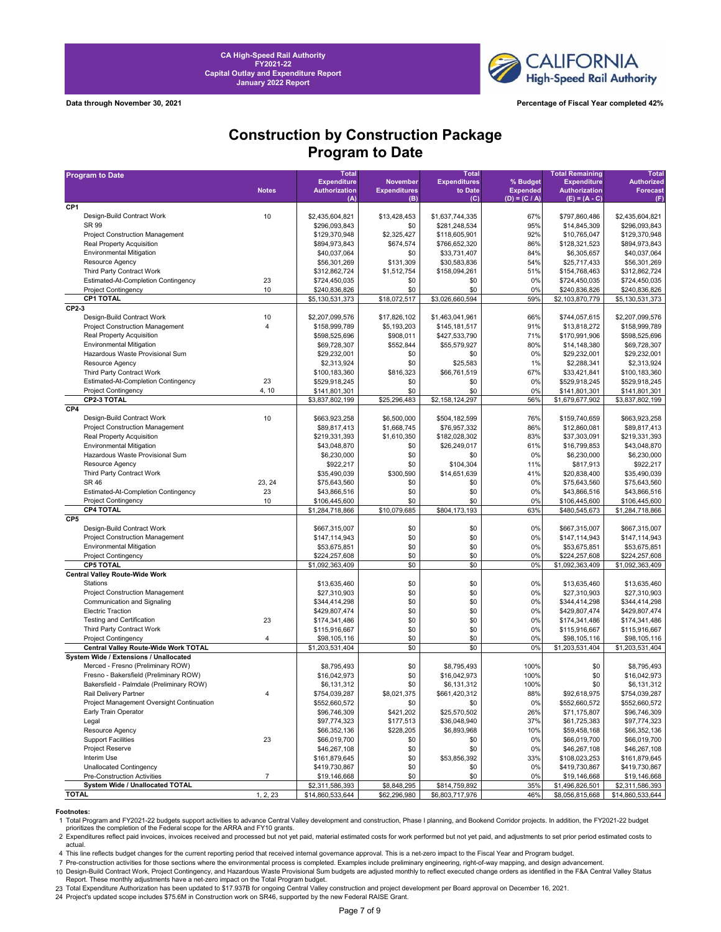

**Data through November 30, 2021 Percentage of Fiscal Year completed 42%**

## **Construction by Construction Package Program to Date**

| <b>Program to Date</b>                                             |                | <b>Total</b>                               |                                 | <b>Total</b>                   |                             | <b>Total Remaining</b>                     | <b>Total</b>                         |
|--------------------------------------------------------------------|----------------|--------------------------------------------|---------------------------------|--------------------------------|-----------------------------|--------------------------------------------|--------------------------------------|
|                                                                    | <b>Notes</b>   | <b>Expenditure</b><br><b>Authorization</b> | November<br><b>Expenditures</b> | <b>Expenditures</b><br>to Date | % Budget<br><b>Expended</b> | <b>Expenditure</b><br><b>Authorization</b> | <b>Authorized</b><br><b>Forecast</b> |
|                                                                    |                | (A)                                        | (B)                             | (C)                            | $(D) = (C / A)$             | $(E) = (A - C)$                            | (F)                                  |
| CP <sub>1</sub>                                                    |                |                                            |                                 |                                |                             |                                            |                                      |
| Design-Build Contract Work                                         | 10             | \$2,435,604,821                            | \$13,428,453                    | \$1,637,744,335                | 67%                         | \$797,860,486                              | \$2,435,604,821                      |
| SR 99                                                              |                | \$296,093,843                              | \$0                             | \$281,248,534                  | 95%                         | \$14,845,309                               | \$296,093,843                        |
| Project Construction Management                                    |                | \$129,370,948                              | \$2,325,427                     | \$118,605,901                  | 92%                         | \$10,765,047                               | \$129,370,948                        |
| Real Property Acquisition                                          |                | \$894,973,843                              | \$674,574                       | \$766,652,320                  | 86%                         | \$128,321,523                              | \$894,973,843                        |
| <b>Environmental Mitigation</b>                                    |                | \$40,037,064                               | \$0                             | \$33,731,407                   | 84%                         | \$6,305,657                                | \$40,037,064                         |
| Resource Agency                                                    |                | \$56,301,269                               | \$131,309                       | \$30,583,836                   | 54%                         | \$25,717,433                               | \$56,301,269                         |
| Third Party Contract Work                                          |                | \$312,862,724                              | \$1,512,754                     | \$158,094,261                  | 51%                         | \$154,768,463                              | \$312,862,724                        |
| Estimated-At-Completion Contingency<br><b>Project Contingency</b>  | 23<br>10       | \$724,450,035<br>\$240,836,826             | \$0<br>\$0                      | \$0<br>\$0                     | 0%<br>0%                    | \$724,450,035<br>\$240,836,826             | \$724,450,035<br>\$240,836,826       |
| CP1 TOTAL                                                          |                | \$5,130,531,373                            | \$18,072,517                    | \$3,026,660,594                | 59%                         | \$2,103,870,779                            | \$5,130,531,373                      |
| CP2-3                                                              |                |                                            |                                 |                                |                             |                                            |                                      |
| Design-Build Contract Work                                         | 10             | \$2,207,099,576                            | \$17,826,102                    | \$1,463,041,961                | 66%                         | \$744,057,615                              | \$2,207,099,576                      |
| <b>Project Construction Management</b>                             | $\overline{4}$ | \$158,999,789                              | \$5,193,203                     | \$145,181,517                  | 91%                         | \$13,818,272                               | \$158,999,789                        |
| Real Property Acquisition                                          |                | \$598,525,696                              | \$908,011                       | \$427,533,790                  | 71%                         | \$170,991,906                              | \$598,525,696                        |
| <b>Environmental Mitigation</b>                                    |                | \$69,728,307                               | \$552,844                       | \$55,579,927                   | 80%                         | \$14,148,380                               | \$69,728,307                         |
| Hazardous Waste Provisional Sum                                    |                | \$29,232,001                               | \$0                             | \$0                            | 0%                          | \$29,232,001                               | \$29,232,001                         |
| Resource Agency                                                    |                | \$2,313,924                                | \$0                             | \$25,583                       | 1%                          | \$2,288,341                                | \$2,313,924                          |
| Third Party Contract Work                                          |                | \$100,183,360                              | \$816,323                       | \$66,761,519                   | 67%                         | \$33,421,841                               | \$100,183,360                        |
| Estimated-At-Completion Contingency                                | 23             | \$529,918,245                              | \$0                             | \$0                            | 0%                          | \$529,918,245                              | \$529,918,245                        |
| <b>Project Contingency</b>                                         | 4, 10          | \$141,801,301                              | \$0                             | \$0                            | 0%                          | \$141,801,301                              | \$141,801,301                        |
| CP2-3 TOTAL                                                        |                | \$3,837,802,199                            | \$25,296,483                    | \$2,158,124,297                | 56%                         | \$1,679,677,902                            | \$3,837,802,199                      |
| CP4                                                                |                |                                            |                                 |                                |                             |                                            |                                      |
| Design-Build Contract Work                                         | 10             | \$663,923,258                              | \$6,500,000                     | \$504,182,599                  | 76%                         | \$159,740,659                              | \$663,923,258                        |
| <b>Project Construction Management</b>                             |                | \$89,817,413                               | \$1,668,745                     | \$76,957,332                   | 86%                         | \$12,860,081                               | \$89,817,413                         |
| Real Property Acquisition                                          |                | \$219,331,393                              | \$1,610,350                     | \$182,028,302                  | 83%                         | \$37,303,091                               | \$219,331,393                        |
| <b>Environmental Mitigation</b><br>Hazardous Waste Provisional Sum |                | \$43,048,870                               | \$0                             | \$26,249,017                   | 61%                         | \$16,799,853                               | \$43,048,870                         |
| Resource Agency                                                    |                | \$6,230,000                                | \$0                             | \$0                            | 0%                          | \$6,230,000                                | \$6,230,000                          |
| Third Party Contract Work                                          |                | \$922,217<br>\$35,490,039                  | \$0<br>\$300,590                | \$104,304<br>\$14,651,639      | 11%<br>41%                  | \$817,913<br>\$20,838,400                  | \$922,217<br>\$35,490,039            |
| <b>SR 46</b>                                                       | 23, 24         | \$75,643,560                               | \$0                             | \$0                            | 0%                          | \$75,643,560                               | \$75,643,560                         |
| Estimated-At-Completion Contingency                                | 23             | \$43,866,516                               | \$0                             | \$0                            | 0%                          | \$43,866,516                               | \$43,866,516                         |
| <b>Project Contingency</b>                                         | 10             | \$106,445,600                              | \$0                             | \$0                            | 0%                          | \$106,445,600                              | \$106,445,600                        |
| <b>CP4 TOTAL</b>                                                   |                | \$1,284,718,866                            | \$10,079,685                    | \$804,173,193                  | 63%                         | \$480,545,673                              | \$1,284,718,866                      |
| CP <sub>5</sub>                                                    |                |                                            |                                 |                                |                             |                                            |                                      |
| Design-Build Contract Work                                         |                | \$667,315,007                              | \$0                             | \$0                            | 0%                          | \$667,315,007                              | \$667,315,007                        |
| <b>Project Construction Management</b>                             |                | \$147,114,943                              | \$0                             | \$0                            | 0%                          | \$147,114,943                              | \$147,114,943                        |
| <b>Environmental Mitigation</b>                                    |                | \$53,675,851                               | \$0                             | \$0                            | 0%                          | \$53,675,851                               | \$53,675,851                         |
| <b>Project Contingency</b>                                         |                | \$224,257,608                              | \$0                             | \$0                            | 0%                          | \$224,257,608                              | \$224,257,608                        |
| <b>CP5 TOTAL</b>                                                   |                | \$1,092,363,409                            | \$0                             | \$0                            | 0%                          | \$1,092,363,409                            | \$1,092,363,409                      |
| <b>Central Valley Route-Wide Work</b>                              |                |                                            |                                 |                                |                             |                                            |                                      |
| Stations                                                           |                | \$13,635,460                               | \$0                             | \$0                            | 0%                          | \$13,635,460                               | \$13,635,460                         |
| <b>Project Construction Management</b>                             |                | \$27,310,903                               | \$0                             | \$0                            | 0%                          | \$27,310,903                               | \$27,310,903                         |
| Communication and Signaling<br><b>Electric Traction</b>            |                | \$344,414,298                              | \$0<br>\$0                      | \$0<br>\$0                     | 0%<br>0%                    | \$344,414,298                              | \$344,414,298                        |
| <b>Testing and Certification</b>                                   | 23             | \$429,807,474<br>\$174,341,486             | \$0                             | \$0                            | 0%                          | \$429,807,474<br>\$174,341,486             | \$429,807,474<br>\$174,341,486       |
| Third Party Contract Work                                          |                | \$115,916,667                              | \$0                             | \$0                            | 0%                          | \$115,916,667                              | \$115,916,667                        |
| <b>Project Contingency</b>                                         | $\overline{4}$ | \$98,105,116                               | \$0                             | \$0                            | 0%                          | \$98,105,116                               | \$98,105,116                         |
| Central Valley Route-Wide Work TOTAL                               |                | \$1,203,531,404                            | \$0                             | \$0                            | 0%                          | \$1,203,531,404                            | \$1,203,531,404                      |
| System Wide / Extensions / Unallocated                             |                |                                            |                                 |                                |                             |                                            |                                      |
| Merced - Fresno (Preliminary ROW)                                  |                | \$8,795,493                                | \$0                             | \$8,795,493                    | 100%                        | \$0                                        | \$8,795,493                          |
| Fresno - Bakersfield (Preliminary ROW)                             |                | \$16,042,973                               | \$0                             | \$16,042,973                   | 100%                        | \$0                                        | \$16,042,973                         |
| Bakersfield - Palmdale (Preliminary ROW)                           |                | \$6,131,312                                | \$0                             | \$6,131,312                    | 100%                        | \$0                                        | \$6,131,312                          |
| Rail Delivery Partner                                              | $\overline{4}$ | \$754,039,287                              | \$8,021,375                     | \$661,420,312                  | 88%                         | \$92,618,975                               | \$754,039,287                        |
| Project Management Oversight Continuation                          |                | \$552,660,572                              | \$0                             | \$0                            | 0%                          | \$552,660,572                              | \$552,660,572                        |
| Early Train Operator                                               |                | \$96,746,309                               | \$421,202                       | \$25,570,502                   | 26%                         | \$71,175,807                               | \$96,746,309                         |
| Legal                                                              |                | \$97,774,323                               | \$177,513                       | \$36,048,940                   | 37%                         | \$61,725,383                               | \$97,774,323                         |
| Resource Agency                                                    |                | \$66,352,136                               | \$228,205                       | \$6,893,968                    | 10%                         | \$59,458,168                               | \$66,352,136                         |
| <b>Support Facilities</b>                                          | 23             | \$66,019,700                               | \$0                             | \$0                            | 0%                          | \$66,019,700                               | \$66,019,700                         |
| Project Reserve                                                    |                | \$46,267,108                               | \$0                             | \$0                            | 0%                          | \$46,267,108                               | \$46,267,108                         |
| Interim Use                                                        |                | \$161,879,645                              | \$0                             | \$53,856,392                   | 33%                         | \$108,023,253                              | \$161,879,645                        |
| Unallocated Contingency<br>Pre-Construction Activities             | $\overline{7}$ | \$419,730,867                              | \$0                             | \$0                            | 0%                          | \$419,730,867<br>\$19,146,668              | \$419,730,867                        |
| System Wide / Unallocated TOTAL                                    |                | \$19,146,668<br>\$2,311,586,393            | \$0<br>\$8,848,295              | \$0<br>\$814,759,892           | 0%<br>35%                   | \$1,496,826,501                            | \$19,146,668<br>\$2,311,586,393      |
| <b>TOTAL</b>                                                       | 1, 2, 23       | \$14,860,533,644                           | \$62,296,980                    | \$6,803,717,976                | 46%                         | \$8,056,815,668                            | \$14,860,533,644                     |
|                                                                    |                |                                            |                                 |                                |                             |                                            |                                      |

**Footnotes:**<br>1 Total Program and FY2021-22 budgets support activities to advance Central Valley development and construction, Phase I planning, and Bookend Corridor projects. In addition, the FY2021-22 budget prioritizes the completion of the Federal scope for the ARRA and FY10 grants.

2 Expenditures reflect paid invoices, invoices received and processed but not yet paid, material estimated costs for work performed but not yet paid, and adjustments to set prior period estimated costs to actual.

4 This line reflects budget changes for the current reporting period that received internal governance approval. This is a net-zero impact to the Fiscal Year and Program budget.

7 Pre-construction activities for those sections where the environmental process is completed. Examples include preliminary engineering, right-of-way mapping, and design advancement.

10 Design-Build Contract Work, Project Contingency, and Hazardous Waste Provisional Sum budgets are adjusted monthly to reflect executed change orders as identified in the F&A Central Valley Status<br>Report. These monthly ad

23 Total Expenditure Authorization has been updated to \$17.937B for ongoing Central Valley construction and project development per Board approval on December 16, 2021.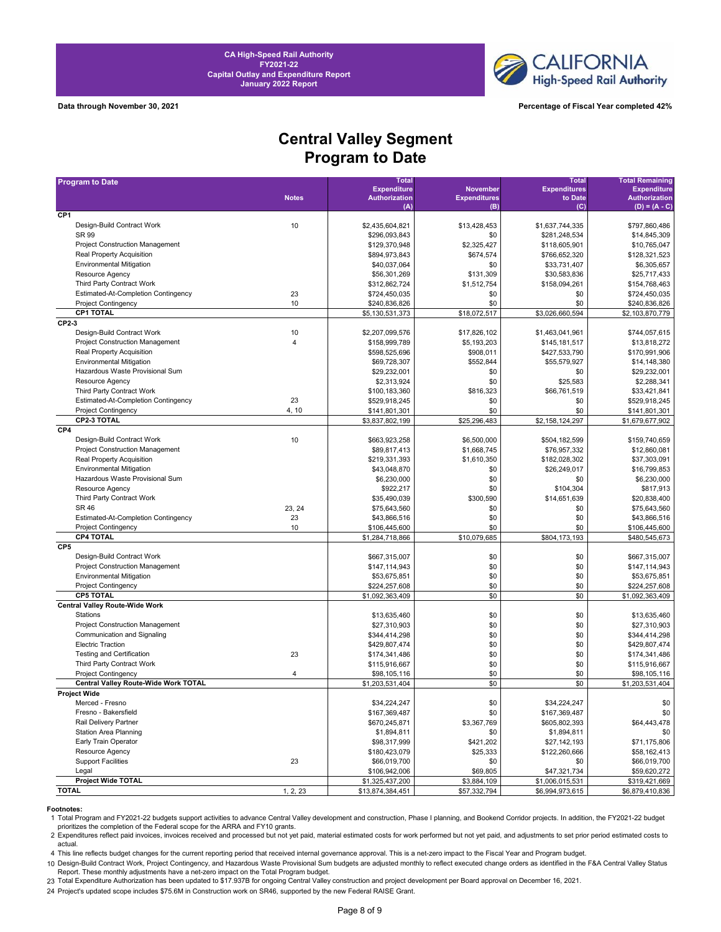



**Data through November 30, 2021 Percentage of Fiscal Year completed 42%**

# **Central Valley Segment Program to Date**

| <b>Program to Date</b>                     |                         | <b>Total</b>         |                     | <b>Total</b>        | <b>Total Remaining</b>         |
|--------------------------------------------|-------------------------|----------------------|---------------------|---------------------|--------------------------------|
|                                            |                         | <b>Expenditure</b>   | <b>November</b>     | <b>Expenditures</b> | <b>Expenditure</b>             |
|                                            | <b>Notes</b>            | <b>Authorization</b> | <b>Expenditures</b> | to Date             | <b>Authorization</b>           |
| CP <sub>1</sub>                            |                         | (A)                  | (B)                 | $\mathbf C$         | $(D) = (A - C)$                |
| Design-Build Contract Work                 | 10                      | \$2,435,604,821      | \$13,428,453        | \$1,637,744,335     | \$797,860,486                  |
| SR 99                                      |                         | \$296,093,843        | \$0                 | \$281.248.534       | \$14,845,309                   |
| <b>Project Construction Management</b>     |                         | \$129,370,948        | \$2,325,427         | \$118,605,901       | \$10,765,047                   |
| Real Property Acquisition                  |                         | \$894,973,843        | \$674,574           | \$766,652,320       | \$128,321,523                  |
| <b>Environmental Mitigation</b>            |                         | \$40,037,064         | \$0                 | \$33,731,407        | \$6,305,657                    |
| Resource Agency                            |                         | \$56,301,269         | \$131,309           | \$30,583,836        | \$25,717,433                   |
| Third Party Contract Work                  |                         | \$312,862,724        | \$1,512,754         | \$158,094,261       | \$154,768,463                  |
| <b>Estimated-At-Completion Contingency</b> |                         |                      |                     |                     |                                |
| <b>Project Contingency</b>                 | 23<br>10                | \$724,450,035        | \$0<br>\$0          | \$0<br>\$0          | \$724,450,035<br>\$240,836,826 |
| <b>CP1 TOTAL</b>                           |                         | \$240,836,826        | \$18,072,517        | \$3,026,660,594     |                                |
| CP2-3                                      |                         | \$5,130,531,373      |                     |                     | \$2,103,870,779                |
| Design-Build Contract Work                 |                         |                      |                     | \$1,463,041,961     | \$744,057,615                  |
| <b>Project Construction Management</b>     | 10                      | \$2,207,099,576      | \$17,826,102        |                     |                                |
|                                            | $\overline{\mathbf{4}}$ | \$158,999,789        | \$5,193,203         | \$145,181,517       | \$13,818,272                   |
| Real Property Acquisition                  |                         | \$598,525,696        | \$908,011           | \$427,533,790       | \$170,991,906                  |
| <b>Environmental Mitigation</b>            |                         | \$69,728,307         | \$552,844           | \$55,579,927        | \$14,148,380                   |
| Hazardous Waste Provisional Sum            |                         | \$29,232,001         | \$0                 | \$0                 | \$29,232,001                   |
| Resource Agency                            |                         | \$2,313,924          | \$0                 | \$25,583            | \$2,288,341                    |
| Third Party Contract Work                  |                         | \$100,183,360        | \$816,323           | \$66,761,519        | \$33,421,841                   |
| <b>Estimated-At-Completion Contingency</b> | 23                      | \$529,918,245        | \$0                 | \$0                 | \$529,918,245                  |
| <b>Project Contingency</b>                 | 4, 10                   | \$141,801,301        | \$0                 | \$0                 | \$141,801,301                  |
| <b>CP2-3 TOTAL</b>                         |                         | \$3,837,802,199      | \$25,296,483        | \$2,158,124,297     | \$1,679,677,902                |
| CP4                                        |                         |                      |                     |                     |                                |
| Design-Build Contract Work                 | 10                      | \$663,923,258        | \$6,500,000         | \$504,182,599       | \$159,740,659                  |
| <b>Project Construction Management</b>     |                         | \$89,817,413         | \$1,668,745         | \$76,957,332        | \$12,860,081                   |
| Real Property Acquisition                  |                         | \$219,331,393        | \$1,610,350         | \$182,028,302       | \$37,303,091                   |
| <b>Environmental Mitigation</b>            |                         | \$43,048,870         | \$0                 | \$26,249,017        | \$16,799,853                   |
| Hazardous Waste Provisional Sum            |                         | \$6,230,000          | \$0                 | \$0                 | \$6,230,000                    |
| Resource Agency                            |                         | \$922,217            | \$0                 | \$104,304           | \$817,913                      |
| Third Party Contract Work                  |                         | \$35,490,039         | \$300,590           | \$14,651,639        | \$20,838,400                   |
| <b>SR 46</b>                               | 23, 24                  | \$75,643,560         | \$0                 | \$0                 | \$75,643,560                   |
| Estimated-At-Completion Contingency        | 23                      | \$43,866,516         | \$0                 | \$0                 | \$43,866,516                   |
| <b>Project Contingency</b>                 | 10                      | \$106,445,600        | \$0                 | \$0                 | \$106,445,600                  |
| <b>CP4 TOTAL</b>                           |                         | \$1,284,718,866      | \$10,079,685        | \$804,173,193       | \$480,545,673                  |
| CP <sub>5</sub>                            |                         |                      |                     |                     |                                |
| Design-Build Contract Work                 |                         | \$667,315,007        | \$0                 | \$0                 | \$667,315,007                  |
| <b>Project Construction Management</b>     |                         | \$147,114,943        | \$0                 | \$0                 | \$147,114,943                  |
| <b>Environmental Mitigation</b>            |                         | \$53,675,851         | \$0                 | \$0                 | \$53,675,851                   |
| <b>Project Contingency</b>                 |                         | \$224,257,608        | \$0                 | \$0                 | \$224,257,608                  |
| <b>CP5 TOTAL</b>                           |                         | \$1,092,363,409      | \$0                 | \$0                 | \$1,092,363,409                |
| <b>Central Valley Route-Wide Work</b>      |                         |                      |                     |                     |                                |
| Stations                                   |                         | \$13,635,460         | \$0                 | \$0                 | \$13,635,460                   |
| Project Construction Management            |                         | \$27,310,903         | \$0                 | \$0                 | \$27,310,903                   |
| Communication and Signaling                |                         | \$344,414,298        | \$0                 | \$0                 | \$344,414,298                  |
| <b>Electric Traction</b>                   |                         | \$429,807,474        | \$0                 | \$0                 | \$429,807,474                  |
| <b>Testing and Certification</b>           | 23                      | \$174,341,486        | \$0                 | \$0                 | \$174,341,486                  |
| Third Party Contract Work                  |                         | \$115,916,667        | \$0                 | \$0                 | \$115,916,667                  |
| <b>Project Contingency</b>                 | 4                       | \$98,105,116         | \$0                 | \$0                 | \$98,105,116                   |
| Central Valley Route-Wide Work TOTAL       |                         | \$1,203,531,404      | \$0                 | \$0                 | \$1,203,531,404                |
| Project Wide                               |                         |                      |                     |                     |                                |
| Merced - Fresno                            |                         | \$34,224,247         | \$0                 | \$34,224,247        | \$0                            |
| Fresno - Bakersfield                       |                         | \$167,369,487        | \$0                 | \$167,369,487       | \$0                            |
| Rail Delivery Partner                      |                         | \$670,245,871        | \$3,367,769         | \$605,802,393       | \$64,443,478                   |
| <b>Station Area Planning</b>               |                         | \$1,894,811          | \$0                 | \$1,894,811         | \$0                            |
| Early Train Operator                       |                         | \$98,317,999         | \$421,202           | \$27,142,193        | \$71,175,806                   |
| Resource Agency                            |                         | \$180,423,079        | \$25,333            | \$122,260,666       | \$58,162,413                   |
| <b>Support Facilities</b>                  | 23                      | \$66,019,700         | \$0                 | \$0                 | \$66,019,700                   |
| Legal                                      |                         | \$106,942,006        | \$69,805            | \$47,321,734        | \$59,620,272                   |
| <b>Project Wide TOTAL</b>                  |                         | \$1,325,437,200      | \$3,884,109         | \$1,006,015,531     | \$319,421,669                  |
| <b>TOTAL</b>                               | 1, 2, 23                | \$13,874,384,451     | \$57,332,794        | \$6,994,973,615     | \$6,879,410,836                |

**Footnotes:** 

1 Total Program and FY2021-22 budgets support activities to advance Central Valley development and construction, Phase I planning, and Bookend Corridor projects. In addition, the FY2021-22 budget prioritizes the completion of the Federal scope for the ARRA and FY10 grants.

2 Expenditures reflect paid invoices, invoices received and processed but not yet paid, material estimated costs for work performed but not yet paid, and adjustments to set prior period estimated costs to actual.

4 This line reflects budget changes for the current reporting period that received internal governance approval. This is a net-zero impact to the Fiscal Year and Program budget. 10 Design-Build Contract Work, Project Contingency, and Hazardous Waste Provisional Sum budgets are adjusted monthly to reflect executed change orders as identified in the F&A Central Valley Status

23 Total Expenditure Authorization has been updated to \$17.937B for ongoing Central Valley construction and project development per Board approval on December 16, 2021. Report. These monthly adjustments have a net-zero impact on the Total Program budget.